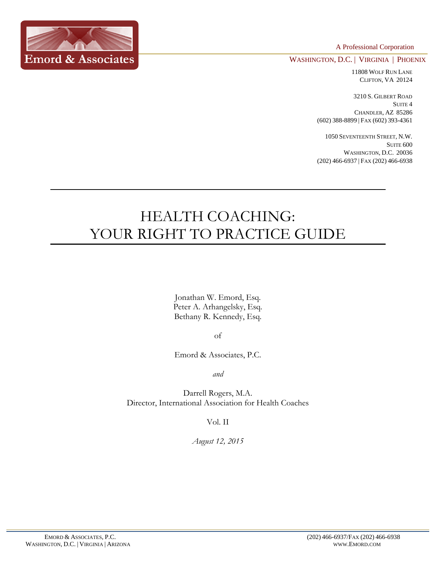A Professional Corporation



WASHINGTON, D.C. | VIRGINIA | PHOENIX

11808 WOLF RUN LANE CLIFTON, VA 20124

3210 S. GILBERT ROAD SUITE 4 CHANDLER, AZ 85286 (602) 388-8899 | FAX (602) 393-4361

1050 SEVENTEENTH STREET, N.W. SUITE 600 WASHINGTON, D.C. 20036 (202) 466-6937 | FAX (202) 466-6938

# HEALTH COACHING: YOUR RIGHT TO PRACTICE GUIDE

Jonathan W. Emord, Esq. Peter A. Arhangelsky, Esq. Bethany R. Kennedy, Esq.

of

Emord & Associates, P.C.

*and*

Darrell Rogers, M.A. Director, International Association for Health Coaches

Vol. II

*August 12, 2015*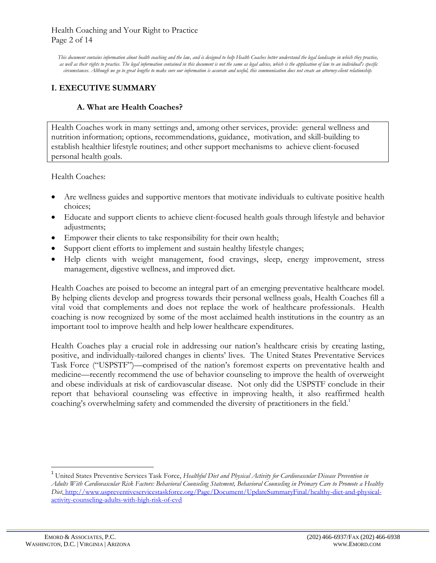*This document contains information about health coaching and the law, and is designed to help Health Coaches better understand the legal landscape in which they practice,* as well as their rights to practice. The legal information contained in this document is not the same as legal advice, which is the application of law to an individual's specific *circumstances. Although we go to great lengths to make sure our information is accurate and useful, this communication does not create an attorney-client relationship.*

# **I. EXECUTIVE SUMMARY**

## **A. What are Health Coaches?**

Health Coaches work in many settings and, among other services, provide: general wellness and nutrition information; options, recommendations, guidance, motivation, and skill-building to establish healthier lifestyle routines; and other support mechanisms to achieve client-focused personal health goals.

Health Coaches:

- Are wellness guides and supportive mentors that motivate individuals to cultivate positive health choices;
- Educate and support clients to achieve client-focused health goals through lifestyle and behavior adjustments;
- Empower their clients to take responsibility for their own health;
- Support client efforts to implement and sustain healthy lifestyle changes;
- Help clients with weight management, food cravings, sleep, energy improvement, stress management, digestive wellness, and improved diet.

Health Coaches are poised to become an integral part of an emerging preventative healthcare model. By helping clients develop and progress towards their personal wellness goals, Health Coaches fill a vital void that complements and does not replace the work of healthcare professionals. Health coaching is now recognized by some of the most acclaimed health institutions in the country as an important tool to improve health and help lower healthcare expenditures.

Health Coaches play a crucial role in addressing our nation's healthcare crisis by creating lasting, positive, and individually-tailored changes in clients' lives. The United States Preventative Services Task Force ("USPSTF")—comprised of the nation's foremost experts on preventative health and medicine—recently recommend the use of behavior counseling to improve the health of overweight and obese individuals at risk of cardiovascular disease. Not only did the USPSTF conclude in their report that behavioral counseling was effective in improving health, it also reaffirmed health coaching's overwhelming safety and commended the diversity of practitioners in the field.<sup>1</sup>

<sup>1</sup> United States Preventive Services Task Force, *Healthful Diet and Physical Activity for Cardiovascular Disease Prevention in Adults With Cardiovascular Risk Factors: Behavioral Counseling Statement, Behavioral Counseling in Primary Care to Promote a Healthy Diet*, http://www.uspreventiveservicestaskforce.org/Page/Document/UpdateSummaryFinal/healthy-diet-and-physicalactivity-counseling-adults-with-high-risk-of-cvd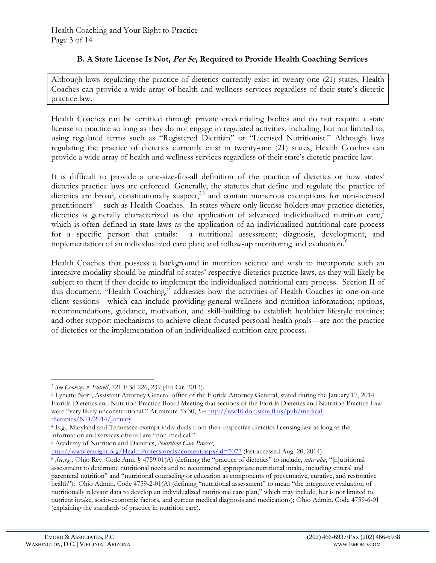# **B. A State License Is Not, Per Se, Required to Provide Health Coaching Services**

Although laws regulating the practice of dietetics currently exist in twenty-one (21) states, Health Coaches can provide a wide array of health and wellness services regardless of their state's dietetic practice law.

Health Coaches can be certified through private credentialing bodies and do not require a state license to practice so long as they do not engage in regulated activities, including, but not limited to, using regulated terms such as "Registered Dietitian" or "Licensed Nutritionist." Although laws regulating the practice of dietetics currently exist in twenty-one (21) states, Health Coaches can provide a wide array of health and wellness services regardless of their state's dietetic practice law.

It is difficult to provide a one-size-fits-all definition of the practice of dietetics or how states' dietetics practice laws are enforced. Generally, the statutes that define and regulate the practice of dietetics are broad, constitutionally suspect,<sup>2,3</sup> and contain numerous exemptions for non-licensed practitioners<sup>4</sup>—such as Health Coaches. In states where only license holders may practice dietetics, dietetics is generally characterized as the application of advanced individualized nutrition care,<sup>5</sup> which is often defined in state laws as the application of an individualized nutritional care process for a specific person that entails: a nutritional assessment; diagnosis, development, and implementation of an individualized care plan; and follow-up monitoring and evaluation.<sup>6</sup>

Health Coaches that possess a background in nutrition science and wish to incorporate such an intensive modality should be mindful of states' respective dietetics practice laws, as they will likely be subject to them if they decide to implement the individualized nutritional care process. Section II of this document, "Health Coaching," addresses how the activities of Health Coaches in one-on-one client sessions—which can include providing general wellness and nutrition information; options, recommendations, guidance, motivation, and skill-building to establish healthier lifestyle routines; and other support mechanisms to achieve client-focused personal health goals—are not the practice of dietetics or the implementation of an individualized nutrition care process.

<sup>2</sup> *See Cooksey v. Futrell*, 721 F.3d 226, 239 (4th Cir. 2013).

<sup>3</sup> Lynette Norr, Assistant Attorney General office of the Florida Attorney General, stated during the January 17, 2014 Florida Dietetics and Nutrition Practice Board Meeting that sections of the Florida Dietetics and Nutrition Practice Law were "very likely unconstitutional." At minute 33:30, *See* [http://ww10.doh.state.fl.us/pub/medical](http://ww10.doh.state.fl.us/pub/medical-therapies/ND/2014/January)[therapies/ND/2014/January](http://ww10.doh.state.fl.us/pub/medical-therapies/ND/2014/January)

<sup>4</sup> E.g., Maryland and Tennessee exempt individuals from their respective dietetics licensing law as long as the information and services offered are "non-medical."

<sup>5</sup> Academy of Nutrition and Dietetics, *Nutrition Care Process*,

<http://www.eatright.org/HealthProfessionals/content.aspx?id=7077> (last accessed Aug. 20, 2014).

<sup>6</sup> *See,e.g.,* Ohio Rev. Code Ann. § 4759.01(A) (defining the "practice of dietetics" to include, *inter alia*, "[n]utritional assessment to determine nutritional needs and to recommend appropriate nutritional intake, including enteral and parenteral nutrition" and "nutritional counseling or education as components of preventative, curative, and restorative health"); Ohio Admin. Code 4759-2-01(A) (defining "nutritional assessment" to mean "the integrative evaluation of nutritionally relevant data to develop an individualized nutritional care plan," which may include, but is not limited to, nutrient intake, socio-economic factors, and current medical diagnosis and medications); Ohio Admin. Code 4759-6-01 (explaining the standards of practice in nutrition care).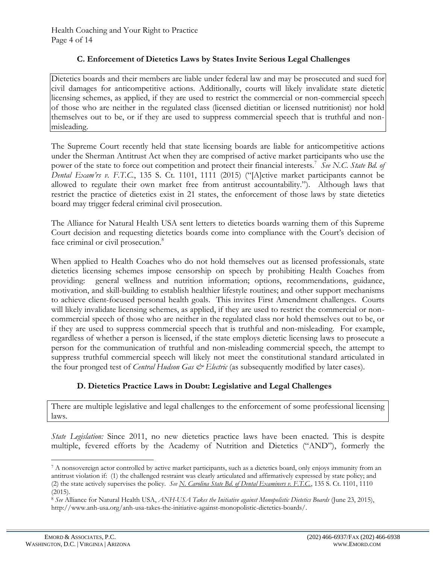## **C. Enforcement of Dietetics Laws by States Invite Serious Legal Challenges**

Dietetics boards and their members are liable under federal law and may be prosecuted and sued for civil damages for anticompetitive actions. Additionally, courts will likely invalidate state dietetic licensing schemes, as applied, if they are used to restrict the commercial or non-commercial speech of those who are neither in the regulated class (licensed dietitian or licensed nutritionist) nor hold themselves out to be, or if they are used to suppress commercial speech that is truthful and nonmisleading.

The Supreme Court recently held that state licensing boards are liable for anticompetitive actions under the Sherman Antitrust Act when they are comprised of active market participants who use the power of the state to force out competition and protect their financial interests.<sup>7</sup> See N.C. State Bd. of *Dental Exam'rs v. F.T.C.*, 135 S. Ct. 1101, 1111 (2015) ("[A]ctive market participants cannot be allowed to regulate their own market free from antitrust accountability."). Although laws that restrict the practice of dietetics exist in 21 states, the enforcement of those laws by state dietetics board may trigger federal criminal civil prosecution.

The Alliance for Natural Health USA sent letters to dietetics boards warning them of this Supreme Court decision and requesting dietetics boards come into compliance with the Court's decision of face criminal or civil prosecution.<sup>8</sup>

When applied to Health Coaches who do not hold themselves out as licensed professionals, state dietetics licensing schemes impose censorship on speech by prohibiting Health Coaches from providing: general wellness and nutrition information; options, recommendations, guidance, motivation, and skill-building to establish healthier lifestyle routines; and other support mechanisms to achieve client-focused personal health goals. This invites First Amendment challenges. Courts will likely invalidate licensing schemes, as applied, if they are used to restrict the commercial or noncommercial speech of those who are neither in the regulated class nor hold themselves out to be, or if they are used to suppress commercial speech that is truthful and non-misleading. For example, regardless of whether a person is licensed, if the state employs dietetic licensing laws to prosecute a person for the communication of truthful and non-misleading commercial speech, the attempt to suppress truthful commercial speech will likely not meet the constitutional standard articulated in the four pronged test of *Central Hudson Gas*  $\breve{\in}$  *Electric* (as subsequently modified by later cases).

## **D. Dietetics Practice Laws in Doubt: Legislative and Legal Challenges**

There are multiple legislative and legal challenges to the enforcement of some professional licensing laws.

*State Legislation:* Since 2011, no new dietetics practice laws have been enacted. This is despite multiple, fevered efforts by the Academy of Nutrition and Dietetics ("AND"), formerly the

<sup>7</sup> A nonsovereign actor controlled by active market participants, such as a dietetics board, only enjoys immunity from an antitrust violation if: (1) the challenged restraint was clearly articulated and affirmatively expressed by state policy; and (2) the state actively supervises the policy. *See N. Carolina State Bd. of Dental Examiners v. F.T.C.*, 135 S. Ct. 1101, 1110 (2015).

<sup>8</sup> *See* Alliance for Natural Health USA, *ANH-USA Takes the Initiative against Monopolistic Dietetics Boards* (June 23, 2015), http://www.anh-usa.org/anh-usa-takes-the-initiative-against-monopolistic-dietetics-boards/.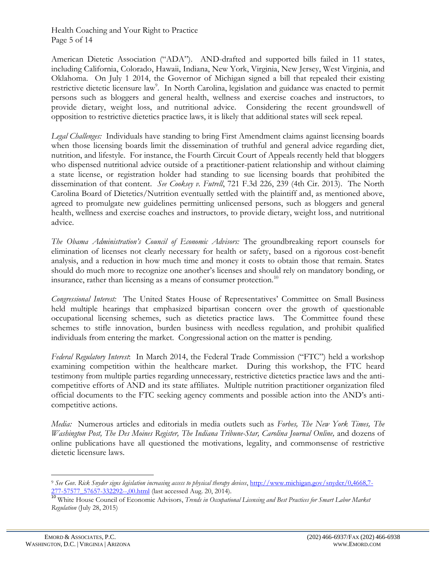Health Coaching and Your Right to Practice Page 5 of 14

American Dietetic Association ("ADA"). AND-drafted and supported bills failed in 11 states, including California, Colorado, Hawaii, Indiana, New York, Virginia, New Jersey, West Virginia, and Oklahoma. On July 1 2014, the Governor of Michigan signed a bill that repealed their existing restrictive dietetic licensure law<sup>9</sup>. In North Carolina, legislation and guidance was enacted to permit persons such as bloggers and general health, wellness and exercise coaches and instructors, to provide dietary, weight loss, and nutritional advice. Considering the recent groundswell of opposition to restrictive dietetics practice laws, it is likely that additional states will seek repeal.

*Legal Challenges:* Individuals have standing to bring First Amendment claims against licensing boards when those licensing boards limit the dissemination of truthful and general advice regarding diet, nutrition, and lifestyle. For instance, the Fourth Circuit Court of Appeals recently held that bloggers who dispensed nutritional advice outside of a practitioner-patient relationship and without claiming a state license, or registration holder had standing to sue licensing boards that prohibited the dissemination of that content. *See Cooksey v. Futrell*, 721 F.3d 226, 239 (4th Cir. 2013). The North Carolina Board of Dietetics/Nutrition eventually settled with the plaintiff and, as mentioned above, agreed to promulgate new guidelines permitting unlicensed persons, such as bloggers and general health, wellness and exercise coaches and instructors, to provide dietary, weight loss, and nutritional advice.

*The Obama Administration's Council of Economic Advisors:* The groundbreaking report counsels for elimination of licenses not clearly necessary for health or safety, based on a rigorous cost-benefit analysis, and a reduction in how much time and money it costs to obtain those that remain. States should do much more to recognize one another's licenses and should rely on mandatory bonding, or insurance, rather than licensing as a means of consumer protection.<sup>10</sup>

*Congressional Interest:* The United States House of Representatives' Committee on Small Business held multiple hearings that emphasized bipartisan concern over the growth of questionable occupational licensing schemes, such as dietetics practice laws. The Committee found these schemes to stifle innovation, burden business with needless regulation, and prohibit qualified individuals from entering the market. Congressional action on the matter is pending.

*Federal Regulatory Interest*: In March 2014, the Federal Trade Commission ("FTC") held a workshop examining competition within the healthcare market. During this workshop, the FTC heard testimony from multiple parties regarding unnecessary, restrictive dietetics practice laws and the anticompetitive efforts of AND and its state affiliates. Multiple nutrition practitioner organization filed official documents to the FTC seeking agency comments and possible action into the AND's anticompetitive actions.

*Media:* Numerous articles and editorials in media outlets such as *Forbes, The New York Times, The Washington Post, The Des Moines Register, The Indiana Tribune-Star, Carolina Journal Online,* and dozens of online publications have all questioned the motivations, legality, and commonsense of restrictive dietetic licensure laws.

<sup>9</sup> *See Gov. Rick Snyder signs legislation increasing access to physical therapy devices*, [http://www.michigan.gov/snyder/0,4668,7-](http://www.michigan.gov/snyder/0,4668,7-277-57577_57657-332292--,00.html) [277-57577\\_57657-332292--,00.html](http://www.michigan.gov/snyder/0,4668,7-277-57577_57657-332292--,00.html) (last accessed Aug. 20, 2014).

<sup>10</sup> White House Council of Economic Advisors, *Trends in Occupational Licensing and Best Practices for Smart Labor Market Regulation* (July 28, 2015)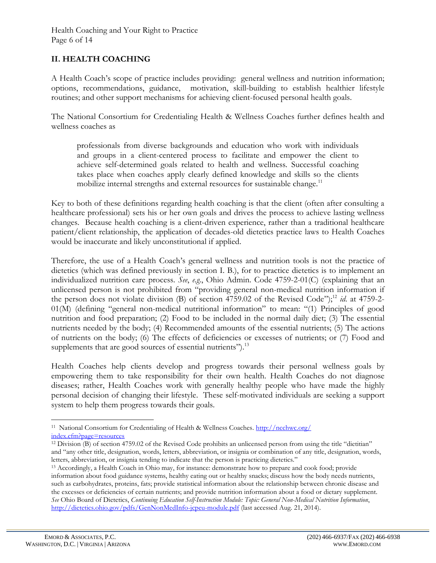# **II. HEALTH COACHING**

A Health Coach's scope of practice includes providing: general wellness and nutrition information; options, recommendations, guidance, motivation, skill-building to establish healthier lifestyle routines; and other support mechanisms for achieving client-focused personal health goals.

The National Consortium for Credentialing Health & Wellness Coaches further defines health and wellness coaches as

professionals from diverse backgrounds and education who work with individuals and groups in a client-centered process to facilitate and empower the client to achieve self-determined goals related to health and wellness. Successful coaching takes place when coaches apply clearly defined knowledge and skills so the clients mobilize internal strengths and external resources for sustainable change.<sup>11</sup>

Key to both of these definitions regarding health coaching is that the client (often after consulting a healthcare professional) sets his or her own goals and drives the process to achieve lasting wellness changes. Because health coaching is a client-driven experience, rather than a traditional healthcare patient/client relationship, the application of decades-old dietetics practice laws to Health Coaches would be inaccurate and likely unconstitutional if applied.

Therefore, the use of a Health Coach's general wellness and nutrition tools is not the practice of dietetics (which was defined previously in section I. B.), for to practice dietetics is to implement an individualized nutrition care process. *See*, *e.g*., Ohio Admin. Code 4759-2-01(C) (explaining that an unlicensed person is not prohibited from "providing general non-medical nutrition information if the person does not violate division (B) of section 4759.02 of the Revised Code");<sup>12</sup> *id.* at 4759-2-01(M) (defining "general non-medical nutritional information" to mean: "(1) Principles of good nutrition and food preparation; (2) Food to be included in the normal daily diet; (3) The essential nutrients needed by the body; (4) Recommended amounts of the essential nutrients; (5) The actions of nutrients on the body; (6) The effects of deficiencies or excesses of nutrients; or (7) Food and supplements that are good sources of essential nutrients"). $^{13}$ 

Health Coaches help clients develop and progress towards their personal wellness goals by empowering them to take responsibility for their own health. Health Coaches do not diagnose diseases; rather, Health Coaches work with generally healthy people who have made the highly personal decision of changing their lifestyle. These self-motivated individuals are seeking a support system to help them progress towards their goals.

 $\overline{a}$ <sup>11</sup> National Consortium for Credentialing of Health & Wellness Coaches. [http://ncchwc.org/](http://ncchwc.org/%20index.cfm?page=resources) [index.cfm?page=resources](http://ncchwc.org/%20index.cfm?page=resources)

<sup>12</sup> Division (B) of section 4759.02 of the Revised Code prohibits an unlicensed person from using the title "dietitian" and "any other title, designation, words, letters, abbreviation, or insignia or combination of any title, designation, words, letters, abbreviation, or insignia tending to indicate that the person is practicing dietetics."

<sup>13</sup> Accordingly, a Health Coach in Ohio may, for instance: demonstrate how to prepare and cook food; provide information about food guidance systems, healthy eating out or healthy snacks; discuss how the body needs nutrients, such as carbohydrates, proteins, fats; provide statistical information about the relationship between chronic disease and the excesses or deficiencies of certain nutrients; and provide nutrition information about a food or dietary supplement. *See* Ohio Board of Dietetics, *Continuing Education Self-Instruction Module: Topic: General Non-Medical Nutrition Information*, <http://dietetics.ohio.gov/pdfs/GenNonMedInfo-jcpeu-module.pdf> (last accessed Aug. 21, 2014).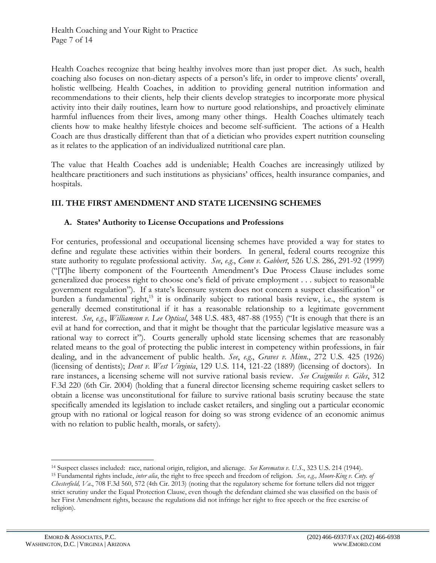Health Coaches recognize that being healthy involves more than just proper diet. As such, health coaching also focuses on non-dietary aspects of a person's life, in order to improve clients' overall, holistic wellbeing. Health Coaches, in addition to providing general nutrition information and recommendations to their clients, help their clients develop strategies to incorporate more physical activity into their daily routines, learn how to nurture good relationships, and proactively eliminate harmful influences from their lives, among many other things. Health Coaches ultimately teach clients how to make healthy lifestyle choices and become self-sufficient. The actions of a Health Coach are thus drastically different than that of a dietician who provides expert nutrition counseling as it relates to the application of an individualized nutritional care plan.

The value that Health Coaches add is undeniable; Health Coaches are increasingly utilized by healthcare practitioners and such institutions as physicians' offices, health insurance companies, and hospitals.

# **III. THE FIRST AMENDMENT AND STATE LICENSING SCHEMES**

## **A. States' Authority to License Occupations and Professions**

For centuries, professional and occupational licensing schemes have provided a way for states to define and regulate these activities within their borders. In general, federal courts recognize this state authority to regulate professional activity. *See*, *e.g*., *Conn v. Gabbert*, 526 U.S. 286, 291-92 (1999) ("[T]he liberty component of the Fourteenth Amendment's Due Process Clause includes some generalized due process right to choose one's field of private employment . . . subject to reasonable government regulation"). If a state's licensure system does not concern a suspect classification<sup>14</sup> or burden a fundamental right,<sup>15</sup> it is ordinarily subject to rational basis review, i.e., the system is generally deemed constitutional if it has a reasonable relationship to a legitimate government interest. *See*, *e.g*., *Williamson v. Lee Optical*, 348 U.S. 483, 487-88 (1955) ("It is enough that there is an evil at hand for correction, and that it might be thought that the particular legislative measure was a rational way to correct it"). Courts generally uphold state licensing schemes that are reasonably related means to the goal of protecting the public interest in competency within professions, in fair dealing, and in the advancement of public health. *See*, *e.g*., *Graves v. Minn.*, 272 U.S. 425 (1926) (licensing of dentists); *Dent v. West Virginia*, 129 U.S. 114, 121-22 (1889) (licensing of doctors). In rare instances, a licensing scheme will not survive rational basis review. *See Craigmiles v. Giles*, 312 F.3d 220 (6th Cir. 2004) (holding that a funeral director licensing scheme requiring casket sellers to obtain a license was unconstitutional for failure to survive rational basis scrutiny because the state specifically amended its legislation to include casket retailers, and singling out a particular economic group with no rational or logical reason for doing so was strong evidence of an economic animus with no relation to public health, morals, or safety).

<sup>14</sup> Suspect classes included: race, national origin, religion, and alienage. *See Korematsu v. U.S.*, 323 U.S. 214 (1944).

<sup>15</sup> Fundamental rights include, *inter alia*, the right to free speech and freedom of religion. *See, e.g., Moore-King v. Cnty. of Chesterfield, Va*., 708 F.3d 560, 572 (4th Cir. 2013) (noting that the regulatory scheme for fortune tellers did not trigger strict scrutiny under the Equal Protection Clause, even though the defendant claimed she was classified on the basis of her First Amendment rights, because the regulations did not infringe her right to free speech or the free exercise of religion).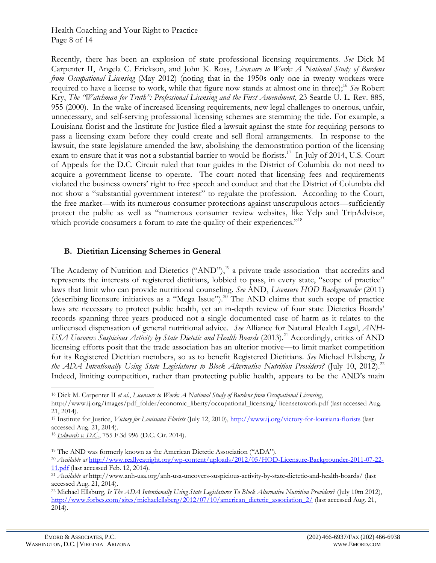#### Health Coaching and Your Right to Practice Page 8 of 14

Recently, there has been an explosion of state professional licensing requirements. *See* Dick M Carpenter II, Angela C. Erickson, and John K. Ross, *Licensure to Work: A National Study of Burdens from Occupational Licensing* (May 2012) (noting that in the 1950s only one in twenty workers were required to have a license to work, while that figure now stands at almost one in three); <sup>16</sup> *See* Robert Kry, *The "Watchman for Truth": Professional Licensing and the First Amendment*, 23 Seattle U. L. Rev. 885, 955 (2000). In the wake of increased licensing requirements, new legal challenges to onerous, unfair, unnecessary, and self-serving professional licensing schemes are stemming the tide. For example, a Louisiana florist and the Institute for Justice filed a lawsuit against the state for requiring persons to pass a licensing exam before they could create and sell floral arrangements. In response to the lawsuit, the state legislature amended the law, abolishing the demonstration portion of the licensing exam to ensure that it was not a substantial barrier to would-be florists.<sup>17</sup> In July of 2014, U.S. Court of Appeals for the D.C. Circuit ruled that tour guides in the District of Columbia do not need to acquire a government license to operate. The court noted that licensing fees and requirements violated the business owners' right to free speech and conduct and that the District of Columbia did not show a "substantial government interest" to regulate the profession. According to the Court, the free market—with its numerous consumer protections against unscrupulous actors—sufficiently protect the public as well as "numerous consumer review websites, like Yelp and TripAdvisor, which provide consumers a forum to rate the quality of their experiences."<sup>18</sup>

## **B. Dietitian Licensing Schemes in General**

The Academy of Nutrition and Dietetics ("AND"),<sup>19</sup> a private trade association that accredits and represents the interests of registered dietitians, lobbied to pass, in every state, "scope of practice" laws that limit who can provide nutritional counseling. *See* AND, *Licensure HOD Backgrounder* (2011) (describing licensure initiatives as a "Mega Issue").<sup>20</sup> The AND claims that such scope of practice laws are necessary to protect public health, yet an in-depth review of four state Dietetics Boards' records spanning three years produced not a single documented case of harm as it relates to the unlicensed dispensation of general nutritional advice. *See* Alliance for Natural Health Legal, *ANH-USA Uncovers Suspicious Activity by State Dietetic and Health Boards* (2013).<sup>21</sup> Accordingly, critics of AND licensing efforts posit that the trade association has an ulterior motive—to limit market competition for its Registered Dietitian members, so as to benefit Registered Dietitians. *See* Michael Ellsberg, *Is the ADA Intentionally Using State Legislatures to Block Alternative Nutrition Providers?* (July 10, 2012).<sup>22</sup> Indeed, limiting competition, rather than protecting public health, appears to be the AND's main

<sup>18</sup> *Edwards v. D.C.*, 755 F.3d 996 (D.C. Cir. 2014).

<sup>19</sup> The AND was formerly known as the American Dietetic Association ("ADA").

<sup>16</sup> Dick M. Carpenter II *et al*., *Licensure to Work: A National Study of Burdens from Occupational Licensing*, http://www.ij.org/images/pdf\_folder/economic\_liberty/occupational\_licensing/ licensetowork.pdf (last accessed Aug. 21, 2014).

<sup>17</sup> Institute for Justice, *Victory for Louisiana Florists* (July 12, 2010),<http://www.ij.org/victory-for-louisiana-florists> (last accessed Aug. 21, 2014).

<sup>20</sup> *Available at* [http://www.reallyeatright.org/wp-content/uploads/2012/05/HOD-Licensure-Backgrounder-2011-07-22-](http://www.reallyeatright.org/wp-content/uploads/2012/05/HOD-Licensure-Backgrounder-2011-07-22-11.pdf) [11.pdf](http://www.reallyeatright.org/wp-content/uploads/2012/05/HOD-Licensure-Backgrounder-2011-07-22-11.pdf) (last accessed Feb. 12, 2014).

<sup>21</sup> *Available at* http://www.anh-usa.org/anh-usa-uncovers-suspicious-activity-by-state-dietetic-and-health-boards/ (last accessed Aug. 21, 2014).

<sup>22</sup> Michael Ellsburg, *Is The ADA Intentionally Using State Legislatures To Block Alternative Nutrition Providers?* (July 10m 2012), [http://www.forbes.com/sites/michaelellsberg/2012/07/10/american\\_dietetic\\_association\\_2/](http://www.forbes.com/sites/michaelellsberg/2012/07/10/american_dietetic_association_2/) (last accessed Aug. 21, 2014).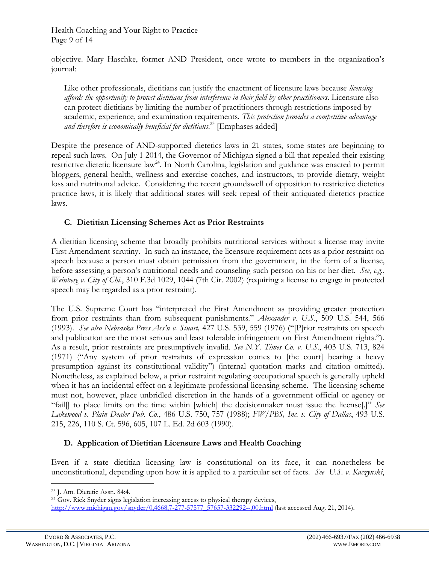Health Coaching and Your Right to Practice Page 9 of 14

objective. Mary Haschke, former AND President, once wrote to members in the organization's journal:

Like other professionals, dietitians can justify the enactment of licensure laws because *licensing affords the opportunity to protect dietitians from interference in their field by other practitioners*. Licensure also can protect dietitians by limiting the number of practitioners through restrictions imposed by academic, experience, and examination requirements. *This protection provides a competitive advantage and therefore is economically beneficial for dietitians*. <sup>23</sup> [Emphases added]

Despite the presence of AND-supported dietetics laws in 21 states, some states are beginning to repeal such laws. On July 1 2014, the Governor of Michigan signed a bill that repealed their existing restrictive dietetic licensure law<sup>24</sup>. In North Carolina, legislation and guidance was enacted to permit bloggers, general health, wellness and exercise coaches, and instructors, to provide dietary, weight loss and nutritional advice. Considering the recent groundswell of opposition to restrictive dietetics practice laws, it is likely that additional states will seek repeal of their antiquated dietetics practice laws.

## **C. Dietitian Licensing Schemes Act as Prior Restraints**

A dietitian licensing scheme that broadly prohibits nutritional services without a license may invite First Amendment scrutiny. In such an instance, the licensure requirement acts as a prior restraint on speech because a person must obtain permission from the government, in the form of a license, before assessing a person's nutritional needs and counseling such person on his or her diet. *See*, *e.g*., *Weinberg v. City of Chi*., 310 F.3d 1029, 1044 (7th Cir. 2002) (requiring a license to engage in protected speech may be regarded as a prior restraint).

The U.S. Supreme Court has "interpreted the First Amendment as providing greater protection from prior restraints than from subsequent punishments." *Alexander v. U.S.*, 509 U.S. 544, 566 (1993). *See also Nebraska Press Ass'n v. Stuart,* 427 U.S. 539, 559 (1976) ("[P]rior restraints on speech and publication are the most serious and least tolerable infringement on First Amendment rights."). As a result, prior restraints are presumptively invalid. *See N.Y. Times Co. v. U.S*., 403 U.S. 713, 824 (1971) ("Any system of prior restraints of expression comes to [the court] bearing a heavy presumption against its constitutional validity") (internal quotation marks and citation omitted). Nonetheless, as explained below, a prior restraint regulating occupational speech is generally upheld when it has an incidental effect on a legitimate professional licensing scheme. The licensing scheme must not, however, place unbridled discretion in the hands of a government official or agency or "fail[] to place limits on the time within [which] the decisionmaker must issue the license[.]" *See Lakewood v. Plain Dealer Pub. Co*., 486 U.S. 750, 757 (1988); *FW/PBS, Inc. v. City of Dallas*, 493 U.S. 215, 226, 110 S. Ct. 596, 605, 107 L. Ed. 2d 603 (1990).

## **D. Application of Dietitian Licensure Laws and Health Coaching**

Even if a state dietitian licensing law is constitutional on its face, it can nonetheless be unconstitutional, depending upon how it is applied to a particular set of facts. *See U.S. v. Kaczynski*,

<sup>23</sup> J. Am. Dietetic Assn. 84:4.

<sup>24</sup> Gov. Rick Snyder signs legislation increasing access to physical therapy devices, [http://www.michigan.gov/snyder/0,4668,7-277-57577\\_57657-332292--,00.html](http://www.michigan.gov/snyder/0,4668,7-277-57577_57657-332292--,00.html) (last accessed Aug. 21, 2014).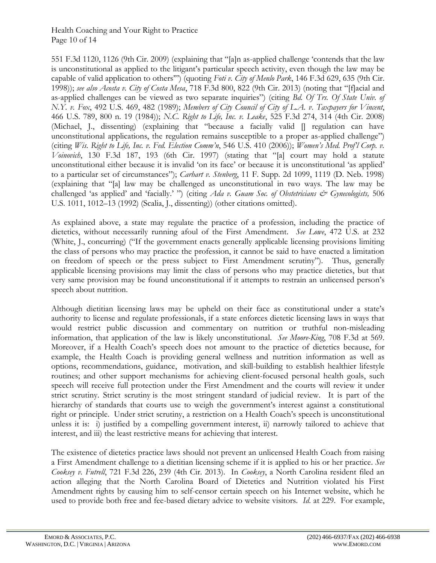#### Health Coaching and Your Right to Practice Page 10 of 14

551 F.3d 1120, 1126 (9th Cir. 2009) (explaining that "[a]n as-applied challenge 'contends that the law is unconstitutional as applied to the litigant's particular speech activity, even though the law may be capable of valid application to others'") (quoting *Foti v. City of Menlo Park*, 146 F.3d 629, 635 (9th Cir. 1998)); *see also Acosta v. City of Costa Mesa*, 718 F.3d 800, 822 (9th Cir. 2013) (noting that "[f]acial and as-applied challenges can be viewed as two separate inquiries") (citing *Bd. Of Trs. Of State Univ. of N.Y. v. Fox*, 492 U.S. 469, 482 (1989); *Members of City Council of City of L.A. v*. *Taxpayers for Vincent*, 466 U.S. 789, 800 n. 19 (1984)); *N.C. Right to Life, Inc. v. Leake*, 525 F.3d 274, 314 (4th Cir. 2008) (Michael, J., dissenting) (explaining that "because a facially valid [] regulation can have unconstitutional applications, the regulation remains susceptible to a proper as-applied challenge") (citing *Wis. Right to Life, Inc. v. Fed. Election Comm'n*, 546 U.S. 410 (2006)); *Women's Med. Prof'l Corp. v. Voinovich*, 130 F.3d 187, 193 (6th Cir. 1997) (stating that "[a] court may hold a statute unconstitutional either because it is invalid 'on its face' or because it is unconstitutional 'as applied' to a particular set of circumstances"); *Carhart v. Stenberg*, 11 F. Supp. 2d 1099, 1119 (D. Neb. 1998) (explaining that "[a] law may be challenged as unconstitutional in two ways. The law may be challenged 'as applied' and 'facially.' ") (citing *Ada v. Guam Soc. of Obstetricians & Gynecologists*, 506 U.S. 1011, 1012–13 (1992) (Scalia, J., dissenting)) (other citations omitted).

As explained above, a state may regulate the practice of a profession, including the practice of dietetics, without necessarily running afoul of the First Amendment. *See Lowe*, 472 U.S. at 232 (White, J., concurring) ("If the government enacts generally applicable licensing provisions limiting the class of persons who may practice the profession, it cannot be said to have enacted a limitation on freedom of speech or the press subject to First Amendment scrutiny"). Thus, generally applicable licensing provisions may limit the class of persons who may practice dietetics, but that very same provision may be found unconstitutional if it attempts to restrain an unlicensed person's speech about nutrition.

Although dietitian licensing laws may be upheld on their face as constitutional under a state's authority to license and regulate professionals, if a state enforces dietetic licensing laws in ways that would restrict public discussion and commentary on nutrition or truthful non-misleading information, that application of the law is likely unconstitutional. *See Moore-King*, 708 F.3d at 569. Moreover, if a Health Coach's speech does not amount to the practice of dietetics because, for example, the Health Coach is providing general wellness and nutrition information as well as options, recommendations, guidance, motivation, and skill-building to establish healthier lifestyle routines; and other support mechanisms for achieving client-focused personal health goals, such speech will receive full protection under the First Amendment and the courts will review it under strict scrutiny. Strict scrutiny is the most stringent standard of judicial review. It is part of the hierarchy of standards that courts use to weigh the government's interest against a constitutional right or principle. Under strict scrutiny, a restriction on a Health Coach's speech is unconstitutional unless it is: i) justified by a compelling government interest, ii) narrowly tailored to achieve that interest, and iii) the least restrictive means for achieving that interest.

The existence of dietetics practice laws should not prevent an unlicensed Health Coach from raising a First Amendment challenge to a dietitian licensing scheme if it is applied to his or her practice. *See Cooksey v. Futrell*, 721 F.3d 226, 239 (4th Cir. 2013). In *Cooksey*, a North Carolina resident filed an action alleging that the North Carolina Board of Dietetics and Nutrition violated his First Amendment rights by causing him to self-censor certain speech on his Internet website, which he used to provide both free and fee-based dietary advice to website visitors. *Id*. at 229. For example,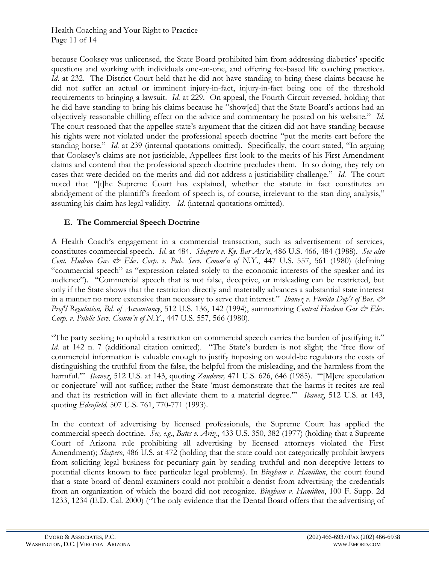Health Coaching and Your Right to Practice Page 11 of 14

because Cooksey was unlicensed, the State Board prohibited him from addressing diabetics' specific questions and working with individuals one-on-one, and offering fee-based life coaching practices. *Id.* at 232. The District Court held that he did not have standing to bring these claims because he did not suffer an actual or imminent injury-in-fact, injury-in-fact being one of the threshold requirements to bringing a lawsuit. *Id*. at 229. On appeal, the Fourth Circuit reversed, holding that he did have standing to bring his claims because he "show[ed] that the State Board's actions had an objectively reasonable chilling effect on the advice and commentary he posted on his website." *Id*. The court reasoned that the appellee state's argument that the citizen did not have standing because his rights were not violated under the professional speech doctrine "put the merits cart before the standing horse." *Id*. at 239 (internal quotations omitted). Specifically, the court stated, "In arguing that Cooksey's claims are not justiciable, Appellees first look to the merits of his First Amendment claims and contend that the professional speech doctrine precludes them. In so doing, they rely on cases that were decided on the merits and did not address a justiciability challenge." *Id*. The court noted that "[t]he Supreme Court has explained, whether the statute in fact constitutes an abridgement of the plaintiff's freedom of speech is, of course, irrelevant to the stan ding analysis," assuming his claim has legal validity. *Id*. (internal quotations omitted).

# **E. The Commercial Speech Doctrine**

A Health Coach's engagement in a commercial transaction, such as advertisement of services, constitutes commercial speech. *Id*. at 484. *Shapero v. Ky. Bar Ass'n*, 486 U.S. 466, 484 (1988). *See also Cent. Hudson Gas & Elec. Corp. v. Pub. Serv. Comm'n of N.Y*., 447 U.S. 557, 561 (1980) (defining "commercial speech" as "expression related solely to the economic interests of the speaker and its audience"). "Commercial speech that is not false, deceptive, or misleading can be restricted, but only if the State shows that the restriction directly and materially advances a substantial state interest in a manner no more extensive than necessary to serve that interest." *Ibanez v. Florida Dep't of Bus.*  $\dot{\mathcal{O}}$ *Prof'l Regulation, Bd. of Accountancy*, 512 U.S. 136, 142 (1994), summarizing *[Central Hudson Gas & Elec.](http://www.westlaw.com/Link/Document/FullText?findType=Y&serNum=1980116785&pubNum=708&originationContext=document&vr=3.0&rs=cblt1.0&transitionType=DocumentItem&contextData=(sc.DocLink)#co_pp_sp_708_2351)  Corp. v[. Public Serv. Comm'n of N.Y.](http://www.westlaw.com/Link/Document/FullText?findType=Y&serNum=1980116785&pubNum=708&originationContext=document&vr=3.0&rs=cblt1.0&transitionType=DocumentItem&contextData=(sc.DocLink)#co_pp_sp_708_2351)*, 447 U.S. 557, 566 (1980).

"The party seeking to uphold a restriction on commercial speech carries the burden of justifying it." *Id.* at 142 n. 7 (additional citation omitted). "The State's burden is not slight; the 'free flow of commercial information is valuable enough to justify imposing on would-be regulators the costs of distinguishing the truthful from the false, the helpful from the misleading, and the harmless from the harmful.'" *Ibanez*, 512 U.S. at 143, quoting *Zauderer,* [471 U.S. 626, 646 \(1985\).](http://www.westlaw.com/Link/Document/FullText?findType=Y&serNum=1985126962&pubNum=708&originationContext=document&vr=3.0&rs=cblt1.0&transitionType=DocumentItem&contextData=(sc.DocLink)#co_pp_sp_708_2279) "'[M]ere speculation or conjecture' will not suffice; rather the State 'must demonstrate that the harms it recites are real and that its restriction will in fact alleviate them to a material degree.'" *Ibanez*, 512 U.S. at 143, quoting *Edenfield,* 507 U.S. [761, 770-771 \(1993\).](http://www.westlaw.com/Link/Document/FullText?findType=Y&serNum=1993091488&pubNum=708&originationContext=document&vr=3.0&rs=cblt1.0&transitionType=DocumentItem&contextData=(sc.DocLink))

In the context of advertising by licensed professionals, the Supreme Court has applied the commercial speech doctrine. *See, e.g*., *Bates v. Ariz.*, 433 U.S. 350, 382 (1977) (holding that a Supreme Court of Arizona rule prohibiting all advertising by licensed attorneys violated the First Amendment); *Shapero*, 486 U.S. at 472 (holding that the state could not categorically prohibit lawyers from soliciting legal business for pecuniary gain by sending truthful and non-deceptive letters to potential clients known to face particular legal problems). In *Bingham v. Hamilton*, the court found that a state board of dental examiners could not prohibit a dentist from advertising the credentials from an organization of which the board did not recognize. *Bingham v. Hamilton*, 100 F. Supp. 2d 1233, 1234 (E.D. Cal. 2000) ("The only evidence that the Dental Board offers that the advertising of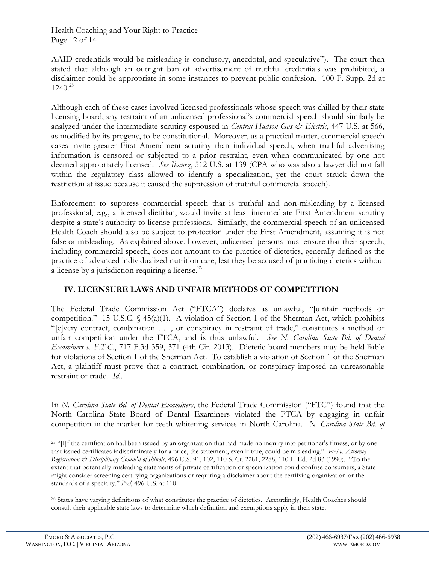Health Coaching and Your Right to Practice Page 12 of 14

AAID credentials would be misleading is conclusory, anecdotal, and speculative"). The court then stated that although an outright ban of advertisement of truthful credentials was prohibited, a disclaimer could be appropriate in some instances to prevent public confusion. 100 F. Supp. 2d at  $1240^{25}$ 

Although each of these cases involved licensed professionals whose speech was chilled by their state licensing board, any restraint of an unlicensed professional's commercial speech should similarly be analyzed under the intermediate scrutiny espoused in *Central Hudson Gas & Electric*, 447 U.S. at 566, as modified by its progeny, to be constitutional. Moreover, as a practical matter, commercial speech cases invite greater First Amendment scrutiny than individual speech, when truthful advertising information is censored or subjected to a prior restraint, even when communicated by one not deemed appropriately licensed. *See Ibanez*, 512 U.S. at 139 (CPA who was also a lawyer did not fall within the regulatory class allowed to identify a specialization, yet the court struck down the restriction at issue because it caused the suppression of truthful commercial speech).

Enforcement to suppress commercial speech that is truthful and non-misleading by a licensed professional, e.g., a licensed dietitian, would invite at least intermediate First Amendment scrutiny despite a state's authority to license professions. Similarly, the commercial speech of an unlicensed Health Coach should also be subject to protection under the First Amendment, assuming it is not false or misleading. As explained above, however, unlicensed persons must ensure that their speech, including commercial speech, does not amount to the practice of dietetics, generally defined as the practice of advanced individualized nutrition care, lest they be accused of practicing dietetics without a license by a jurisdiction requiring a license.<sup>26</sup>

# **IV. LICENSURE LAWS AND UNFAIR METHODS OF COMPETITION**

The Federal Trade Commission Act ("FTCA") declares as unlawful, "[u]nfair methods of competition." 15 U.S.C. § 45(a)(1). A violation of Section 1 of the Sherman Act, which prohibits "[e]very contract, combination . . ., or conspiracy in restraint of trade," constitutes a method of unfair competition under the FTCA, and is thus unlawful. *See N. Carolina State Bd. of Dental Examiners v. F.T.C*., 717 F.3d 359, 371 (4th Cir. 2013). Dietetic board members may be held liable for violations of Section 1 of the Sherman Act. To establish a violation of Section 1 of the Sherman Act, a plaintiff must prove that a contract, combination, or conspiracy imposed an unreasonable restraint of trade. *Id.*.

In *N. Carolina State Bd. of Dental Examiners*, the Federal Trade Commission ("FTC") found that the North Carolina State Board of Dental Examiners violated the FTCA by engaging in unfair competition in the market for teeth whitening services in North Carolina. *N. Carolina State Bd. of* 

<sup>&</sup>lt;sup>25</sup> "[I]f the certification had been issued by an organization that had made no inquiry into petitioner's fitness, or by one that issued certificates indiscriminately for a price, the statement, even if true, could be misleading." *Peel v. Attorney Registration & Disciplinary Comm'n of Illinois*, 496 U.S. 91, 102, 110 S. Ct. 2281, 2288, 110 L. Ed. 2d 83 (1990). "To the extent that potentially misleading statements of private certification or specialization could confuse consumers, a State might consider screening certifying organizations or requiring a disclaimer about the certifying organization or the standards of a specialty." *Peel*, 496 U.S. at 110.

<sup>&</sup>lt;sup>26</sup> States have varying definitions of what constitutes the practice of dietetics. Accordingly, Health Coaches should consult their applicable state laws to determine which definition and exemptions apply in their state.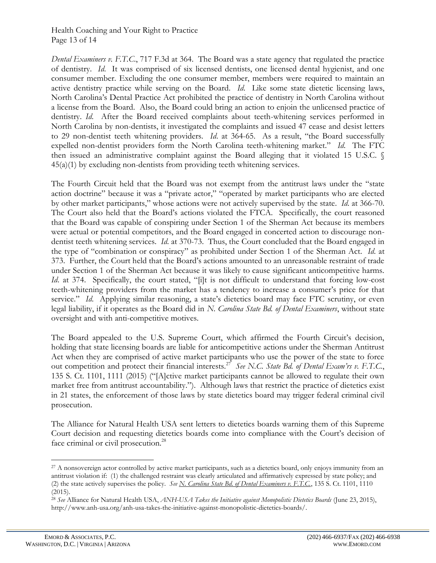#### Health Coaching and Your Right to Practice Page 13 of 14

*Dental Examiners v. F.T.C*., 717 F.3d at 364. The Board was a state agency that regulated the practice of dentistry. *Id*. It was comprised of six licensed dentists, one licensed dental hygienist, and one consumer member. Excluding the one consumer member, members were required to maintain an active dentistry practice while serving on the Board. *Id*. Like some state dietetic licensing laws, North Carolina's Dental Practice Act prohibited the practice of dentistry in North Carolina without a license from the Board. Also, the Board could bring an action to enjoin the unlicensed practice of dentistry. *Id*. After the Board received complaints about teeth-whitening services performed in North Carolina by non-dentists, it investigated the complaints and issued 47 cease and desist letters to 29 non-dentist teeth whitening providers. *Id*. at 364-65. As a result, "the Board successfully expelled non-dentist providers form the North Carolina teeth-whitening market." *Id*. The FTC then issued an administrative complaint against the Board alleging that it violated 15 U.S.C. § 45(a)(1) by excluding non-dentists from providing teeth whitening services.

The Fourth Circuit held that the Board was not exempt from the antitrust laws under the "state action doctrine" because it was a "private actor," "operated by market participants who are elected by other market participants," whose actions were not actively supervised by the state. *Id*. at 366-70. The Court also held that the Board's actions violated the FTCA. Specifically, the court reasoned that the Board was capable of conspiring under Section 1 of the Sherman Act because its members were actual or potential competitors, and the Board engaged in concerted action to discourage nondentist teeth whitening services. *Id*. at 370-73. Thus, the Court concluded that the Board engaged in the type of "combination or conspiracy" as prohibited under Section 1 of the Sherman Act. *Id*. at 373. Further, the Court held that the Board's actions amounted to an unreasonable restraint of trade under Section 1 of the Sherman Act because it was likely to cause significant anticompetitive harms. *Id.* at 374. Specifically, the court stated, "[i]t is not difficult to understand that forcing low-cost teeth-whitening providers from the market has a tendency to increase a consumer's price for that service." *Id.* Applying similar reasoning, a state's dietetics board may face FTC scrutiny, or even legal liability, if it operates as the Board did in *N. Carolina State Bd. of Dental Examiners*, without state oversight and with anti-competitive motives.

The Board appealed to the U.S. Supreme Court, which affirmed the Fourth Circuit's decision, holding that state licensing boards are liable for anticompetitive actions under the Sherman Antitrust Act when they are comprised of active market participants who use the power of the state to force out competition and protect their financial interests.<sup>27</sup> See N.C. State Bd. of Dental Exam'rs v. F.T.C., 135 S. Ct. 1101, 1111 (2015) ("[A]ctive market participants cannot be allowed to regulate their own market free from antitrust accountability."). Although laws that restrict the practice of dietetics exist in 21 states, the enforcement of those laws by state dietetics board may trigger federal criminal civil prosecution.

The Alliance for Natural Health USA sent letters to dietetics boards warning them of this Supreme Court decision and requesting dietetics boards come into compliance with the Court's decision of face criminal or civil prosecution.<sup>28</sup>

<sup>&</sup>lt;sup>27</sup> A nonsovereign actor controlled by active market participants, such as a dietetics board, only enjoys immunity from an antitrust violation if: (1) the challenged restraint was clearly articulated and affirmatively expressed by state policy; and (2) the state actively supervises the policy. *See N. Carolina State Bd. of Dental Examiners v. F.T.C.*, 135 S. Ct. 1101, 1110 (2015).

<sup>28</sup> *See* Alliance for Natural Health USA, *ANH-USA Takes the Initiative against Monopolistic Dietetics Boards* (June 23, 2015), http://www.anh-usa.org/anh-usa-takes-the-initiative-against-monopolistic-dietetics-boards/.